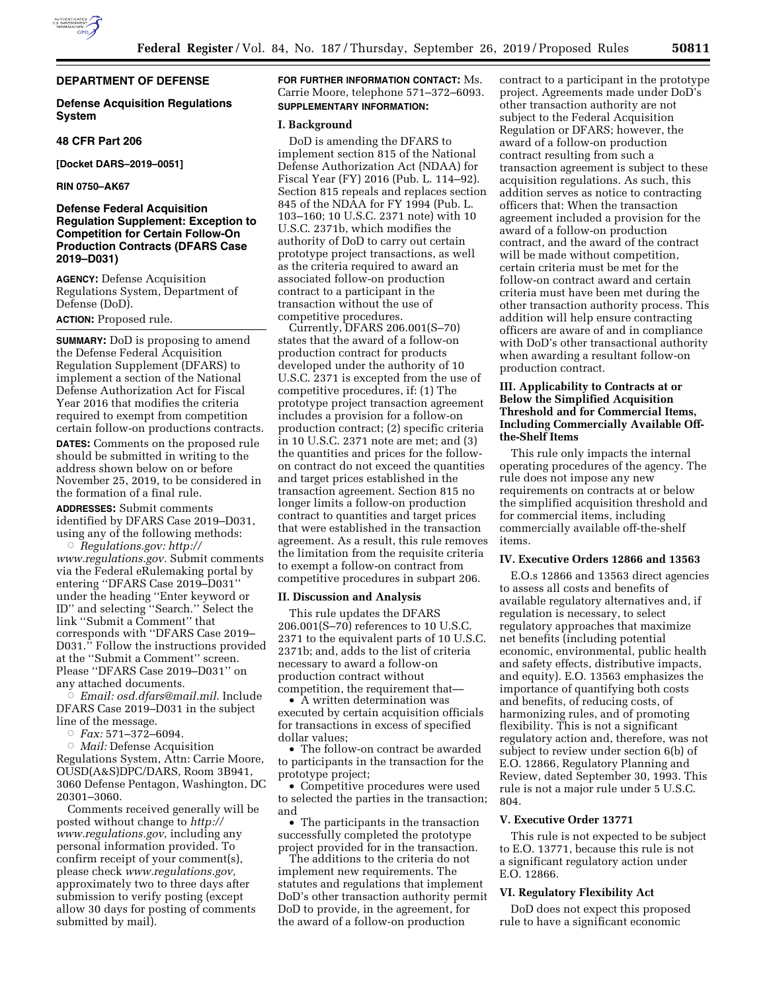

# **DEPARTMENT OF DEFENSE**

## **Defense Acquisition Regulations System**

### **48 CFR Part 206**

**[Docket DARS–2019–0051]** 

## **RIN 0750–AK67**

# **Defense Federal Acquisition Regulation Supplement: Exception to Competition for Certain Follow-On Production Contracts (DFARS Case 2019–D031)**

**AGENCY:** Defense Acquisition Regulations System, Department of Defense (DoD).

## **ACTION:** Proposed rule.

**SUMMARY:** DoD is proposing to amend the Defense Federal Acquisition Regulation Supplement (DFARS) to implement a section of the National Defense Authorization Act for Fiscal Year 2016 that modifies the criteria required to exempt from competition certain follow-on productions contracts.

**DATES:** Comments on the proposed rule should be submitted in writing to the address shown below on or before November 25, 2019, to be considered in the formation of a final rule.

**ADDRESSES:** Submit comments identified by DFARS Case 2019–D031, using any of the following methods:

Æ *Regulations.gov: [http://](http://www.regulations.gov) [www.regulations.gov.](http://www.regulations.gov)* Submit comments via the Federal eRulemaking portal by entering ''DFARS Case 2019–D031'' under the heading ''Enter keyword or ID'' and selecting ''Search.'' Select the link ''Submit a Comment'' that corresponds with ''DFARS Case 2019– D031.'' Follow the instructions provided at the ''Submit a Comment'' screen. Please ''DFARS Case 2019–D031'' on any attached documents.

 $\stackrel{\sim}{\circ}$  *Email: [osd.dfars@mail.mil.](mailto:osd.dfars@mail.mil)* Include DFARS Case 2019–D031 in the subject line of the message.

Æ *Fax:* 571–372–6094.

Æ *Mail:* Defense Acquisition Regulations System, Attn: Carrie Moore, OUSD(A&S)DPC/DARS, Room 3B941, 3060 Defense Pentagon, Washington, DC 20301–3060.

Comments received generally will be posted without change to *[http://](http://www.regulations.gov) [www.regulations.gov,](http://www.regulations.gov)* including any personal information provided. To confirm receipt of your comment(s), please check *[www.regulations.gov,](http://www.regulations.gov)*  approximately two to three days after submission to verify posting (except allow 30 days for posting of comments submitted by mail).

**FOR FURTHER INFORMATION CONTACT:** Ms. Carrie Moore, telephone 571–372–6093. **SUPPLEMENTARY INFORMATION:** 

#### **I. Background**

DoD is amending the DFARS to implement section 815 of the National Defense Authorization Act (NDAA) for Fiscal Year (FY) 2016 (Pub. L. 114–92). Section 815 repeals and replaces section 845 of the NDAA for FY 1994 (Pub. L. 103–160; 10 U.S.C. 2371 note) with 10 U.S.C. 2371b, which modifies the authority of DoD to carry out certain prototype project transactions, as well as the criteria required to award an associated follow-on production contract to a participant in the transaction without the use of competitive procedures.

Currently, DFARS 206.001(S–70) states that the award of a follow-on production contract for products developed under the authority of 10 U.S.C. 2371 is excepted from the use of competitive procedures, if: (1) The prototype project transaction agreement includes a provision for a follow-on production contract; (2) specific criteria in 10 U.S.C. 2371 note are met; and (3) the quantities and prices for the followon contract do not exceed the quantities and target prices established in the transaction agreement. Section 815 no longer limits a follow-on production contract to quantities and target prices that were established in the transaction agreement. As a result, this rule removes the limitation from the requisite criteria to exempt a follow-on contract from competitive procedures in subpart 206.

# **II. Discussion and Analysis**

This rule updates the DFARS 206.001(S–70) references to 10 U.S.C. 2371 to the equivalent parts of 10 U.S.C. 2371b; and, adds to the list of criteria necessary to award a follow-on production contract without

competition, the requirement that—

• A written determination was executed by certain acquisition officials for transactions in excess of specified dollar values;

• The follow-on contract be awarded to participants in the transaction for the prototype project;

• Competitive procedures were used to selected the parties in the transaction; and

• The participants in the transaction successfully completed the prototype project provided for in the transaction.

The additions to the criteria do not implement new requirements. The statutes and regulations that implement DoD's other transaction authority permit DoD to provide, in the agreement, for the award of a follow-on production

contract to a participant in the prototype project. Agreements made under DoD's other transaction authority are not subject to the Federal Acquisition Regulation or DFARS; however, the award of a follow-on production contract resulting from such a transaction agreement is subject to these acquisition regulations. As such, this addition serves as notice to contracting officers that: When the transaction agreement included a provision for the award of a follow-on production contract, and the award of the contract will be made without competition, certain criteria must be met for the follow-on contract award and certain criteria must have been met during the other transaction authority process. This addition will help ensure contracting officers are aware of and in compliance with DoD's other transactional authority when awarding a resultant follow-on production contract.

# **III. Applicability to Contracts at or Below the Simplified Acquisition Threshold and for Commercial Items, Including Commercially Available Offthe-Shelf Items**

This rule only impacts the internal operating procedures of the agency. The rule does not impose any new requirements on contracts at or below the simplified acquisition threshold and for commercial items, including commercially available off-the-shelf items.

## **IV. Executive Orders 12866 and 13563**

E.O.s 12866 and 13563 direct agencies to assess all costs and benefits of available regulatory alternatives and, if regulation is necessary, to select regulatory approaches that maximize net benefits (including potential economic, environmental, public health and safety effects, distributive impacts, and equity). E.O. 13563 emphasizes the importance of quantifying both costs and benefits, of reducing costs, of harmonizing rules, and of promoting flexibility. This is not a significant regulatory action and, therefore, was not subject to review under section 6(b) of E.O. 12866, Regulatory Planning and Review, dated September 30, 1993. This rule is not a major rule under 5 U.S.C. 804.

#### **V. Executive Order 13771**

This rule is not expected to be subject to E.O. 13771, because this rule is not a significant regulatory action under E.O. 12866.

## **VI. Regulatory Flexibility Act**

DoD does not expect this proposed rule to have a significant economic